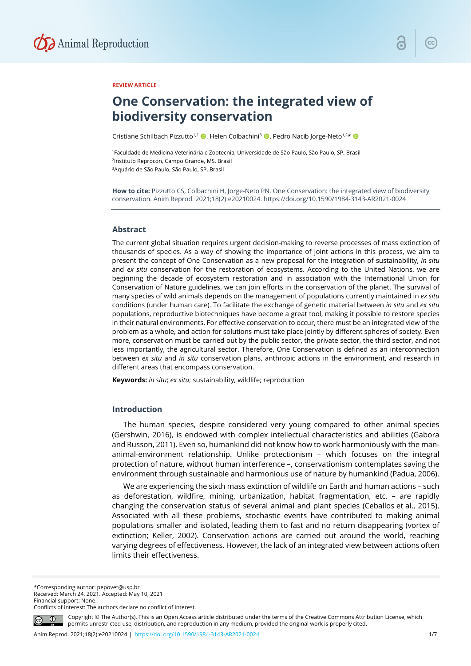

# **REVIEW ARTICLE**

# **One Conservation: the integrated view of biodiversity conservation**

Cristiane Schilbach Pizzutto<sup>1,2</sup> (D, Helen Colbachini<sup>3</sup> (D, Pedro Nacib Jorge-Neto<sup>1,2\*</sup> (D)

1Faculdade de Medicina Veterinária e Zootecnia, Universidade de São Paulo, São Paulo, SP, Brasil 2Instituto Reprocon, Campo Grande, MS, Brasil 3Aquário de São Paulo, São Paulo, SP, Brasil

**How to cite:** Pizzutto CS, Colbachini H, Jorge-Neto PN. One Conservation: the integrated view of biodiversity conservation. Anim Reprod. 2021;18(2):e20210024. https://doi.org/10.1590/1984-3143-AR2021-0024

## **Abstract**

The current global situation requires urgent decision-making to reverse processes of mass extinction of thousands of species. As a way of showing the importance of joint actions in this process, we aim to present the concept of One Conservation as a new proposal for the integration of sustainability, *in situ* and *ex situ* conservation for the restoration of ecosystems. According to the United Nations, we are beginning the decade of ecosystem restoration and in association with the International Union for Conservation of Nature guidelines, we can join efforts in the conservation of the planet. The survival of many species of wild animals depends on the management of populations currently maintained in *ex situ* conditions (under human care). To facilitate the exchange of genetic material between *in situ* and *ex situ* populations, reproductive biotechniques have become a great tool, making it possible to restore species in their natural environments. For effective conservation to occur, there must be an integrated view of the problem as a whole, and action for solutions must take place jointly by different spheres of society. Even more, conservation must be carried out by the public sector, the private sector, the third sector, and not less importantly, the agricultural sector. Therefore, One Conservation is defined as an interconnection between *ex situ* and *in situ* conservation plans, anthropic actions in the environment, and research in different areas that encompass conservation.

**Keywords:** *in situ*; *ex situ*; sustainability; wildlife; reproduction

### **Introduction**

The human species, despite considered very young compared to other animal species (Gershwin, 2016), is endowed with complex intellectual characteristics and abilities (Gabora and Russon, 2011). Even so, humankind did not know how to work harmoniously with the mananimal-environment relationship. Unlike protectionism – which focuses on the integral protection of nature, without human interference –, conservationism contemplates saving the environment through sustainable and harmonious use of nature by humankind (Padua, 2006).

We are experiencing the sixth mass extinction of wildlife on Earth and human actions – such as deforestation, wildfire, mining, urbanization, habitat fragmentation, etc. – are rapidly changing the conservation status of several animal and plant species (Ceballos et al., 2015). Associated with all these problems, stochastic events have contributed to making animal populations smaller and isolated, leading them to fast and no return disappearing (vortex of extinction; Keller, 2002). Conservation actions are carried out around the world, reaching varying degrees of effectiveness. However, the lack of an integrated view between actions often limits their effectiveness.

\*Corresponding author: pepovet@usp.br Received: March 24, 2021. Accepted: May 10, 2021 Financial support: None. Conflicts of interest: The authors declare no conflict of interest.



Copyright © The Author(s). This is an Open Access article distributed under the terms of the Creative Commons Attribution License, which permits unrestricted use, distribution, and reproduction in any medium, provided the original work is properly cited.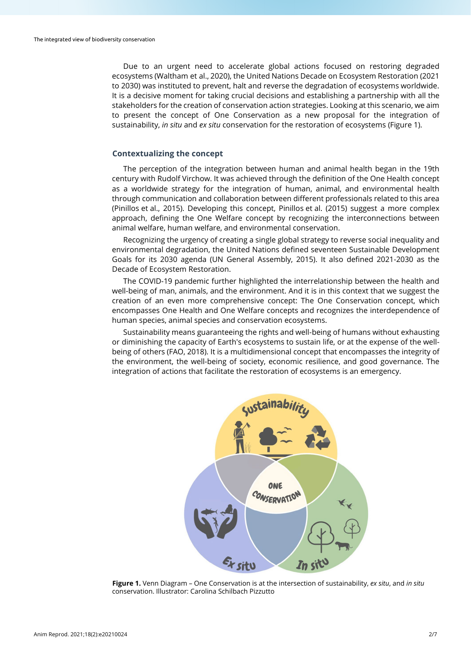Due to an urgent need to accelerate global actions focused on restoring degraded ecosystems (Waltham et al., 2020), the United Nations Decade on Ecosystem Restoration (2021 to 2030) was instituted to prevent, halt and reverse the degradation of ecosystems worldwide. It is a decisive moment for taking crucial decisions and establishing a partnership with all the stakeholders for the creation of conservation action strategies. Looking at this scenario, we aim to present the concept of One Conservation as a new proposal for the integration of sustainability, *in situ* and *ex situ* conservation for the restoration of ecosystems (Figure 1).

# **Contextualizing the concept**

The perception of the integration between human and animal health began in the 19th century with Rudolf Virchow. It was achieved through the definition of the One Health concept as a worldwide strategy for the integration of human, animal, and environmental health through communication and collaboration between different professionals related to this area (Pinillos et al., 2015). Developing this concept, Pinillos et al. (2015) suggest a more complex approach, defining the One Welfare concept by recognizing the interconnections between animal welfare, human welfare, and environmental conservation.

Recognizing the urgency of creating a single global strategy to reverse social inequality and environmental degradation, the United Nations defined seventeen Sustainable Development Goals for its 2030 agenda (UN General Assembly, 2015). It also defined 2021-2030 as the Decade of Ecosystem Restoration.

The COVID-19 pandemic further highlighted the interrelationship between the health and well-being of man, animals, and the environment. And it is in this context that we suggest the creation of an even more comprehensive concept: The One Conservation concept, which encompasses One Health and One Welfare concepts and recognizes the interdependence of human species, animal species and conservation ecosystems.

Sustainability means guaranteeing the rights and well-being of humans without exhausting or diminishing the capacity of Earth's ecosystems to sustain life, or at the expense of the wellbeing of others (FAO, 2018). It is a multidimensional concept that encompasses the integrity of the environment, the well-being of society, economic resilience, and good governance. The integration of actions that facilitate the restoration of ecosystems is an emergency.



**Figure 1.** Venn Diagram – One Conservation is at the intersection of sustainability, *ex situ*, and *in situ* conservation. Illustrator: Carolina Schilbach Pizzutto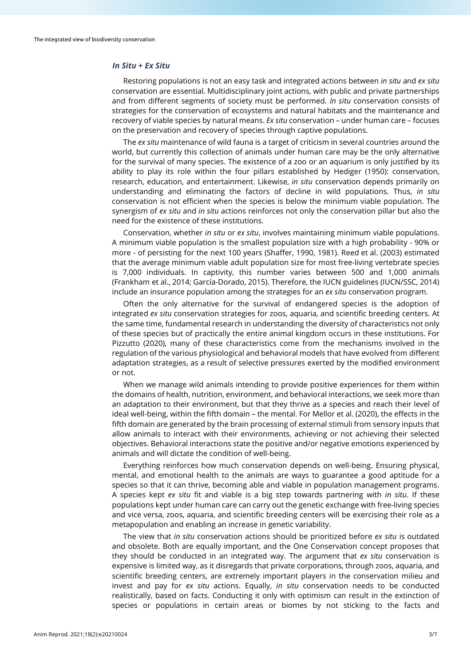# *In Situ* **+** *Ex Situ*

Restoring populations is not an easy task and integrated actions between *in situ* and *ex situ* conservation are essential. Multidisciplinary joint actions, with public and private partnerships and from different segments of society must be performed. *In situ* conservation consists of strategies for the conservation of ecosystems and natural habitats and the maintenance and recovery of viable species by natural means. *Ex situ* conservation – under human care – focuses on the preservation and recovery of species through captive populations.

The *ex situ* maintenance of wild fauna is a target of criticism in several countries around the world, but currently this collection of animals under human care may be the only alternative for the survival of many species. The existence of a zoo or an aquarium is only justified by its ability to play its role within the four pillars established by Hediger (1950): conservation, research, education, and entertainment. Likewise, *in situ* conservation depends primarily on understanding and eliminating the factors of decline in wild populations. Thus, *in situ* conservation is not efficient when the species is below the minimum viable population. The synergism of *ex situ* and *in situ* actions reinforces not only the conservation pillar but also the need for the existence of these institutions.

Conservation, whether *in situ* or *ex situ*, involves maintaining minimum viable populations. A minimum viable population is the smallest population size with a high probability - 90% or more - of persisting for the next 100 years (Shaffer, 1990, 1981). Reed et al. (2003) estimated that the average minimum viable adult population size for most free-living vertebrate species is 7,000 individuals. In captivity, this number varies between 500 and 1,000 animals (Frankham et al., 2014; García-Dorado, 2015). Therefore, the IUCN guidelines (IUCN/SSC, 2014) include an insurance population among the strategies for an *ex situ* conservation program.

Often the only alternative for the survival of endangered species is the adoption of integrated *ex situ* conservation strategies for zoos, aquaria, and scientific breeding centers. At the same time, fundamental research in understanding the diversity of characteristics not only of these species but of practically the entire animal kingdom occurs in these institutions. For Pizzutto (2020), many of these characteristics come from the mechanisms involved in the regulation of the various physiological and behavioral models that have evolved from different adaptation strategies, as a result of selective pressures exerted by the modified environment or not.

When we manage wild animals intending to provide positive experiences for them within the domains of health, nutrition, environment, and behavioral interactions, we seek more than an adaptation to their environment, but that they thrive as a species and reach their level of ideal well-being, within the fifth domain – the mental. For Mellor et al. (2020), the effects in the fifth domain are generated by the brain processing of external stimuli from sensory inputs that allow animals to interact with their environments, achieving or not achieving their selected objectives. Behavioral interactions state the positive and/or negative emotions experienced by animals and will dictate the condition of well-being.

Everything reinforces how much conservation depends on well-being. Ensuring physical, mental, and emotional health to the animals are ways to guarantee a good aptitude for a species so that it can thrive, becoming able and viable in population management programs. A species kept *ex situ* fit and viable is a big step towards partnering with *in situ*. If these populations kept under human care can carry out the genetic exchange with free-living species and vice versa, zoos, aquaria, and scientific breeding centers will be exercising their role as a metapopulation and enabling an increase in genetic variability.

The view that *in situ* conservation actions should be prioritized before *ex situ* is outdated and obsolete. Both are equally important, and the One Conservation concept proposes that they should be conducted in an integrated way. The argument that *ex situ* conservation is expensive is limited way, as it disregards that private corporations, through zoos, aquaria, and scientific breeding centers, are extremely important players in the conservation milieu and invest and pay for *ex situ* actions. Equally, *in situ* conservation needs to be conducted realistically, based on facts. Conducting it only with optimism can result in the extinction of species or populations in certain areas or biomes by not sticking to the facts and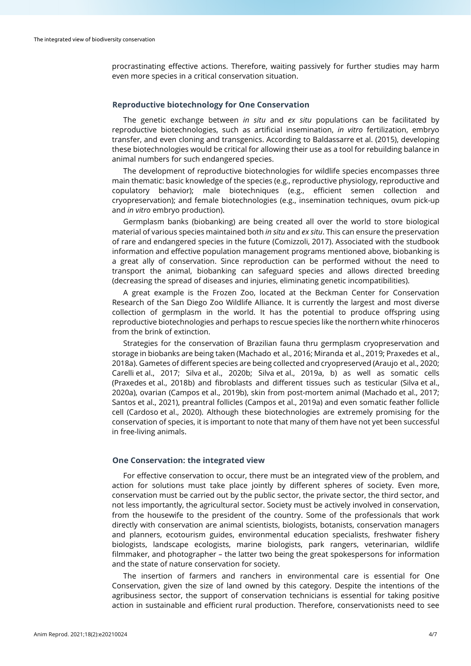procrastinating effective actions. Therefore, waiting passively for further studies may harm even more species in a critical conservation situation.

# **Reproductive biotechnology for One Conservation**

The genetic exchange between *in situ* and *ex situ* populations can be facilitated by reproductive biotechnologies, such as artificial insemination, *in vitro* fertilization, embryo transfer, and even cloning and transgenics. According to Baldassarre et al. (2015), developing these biotechnologies would be critical for allowing their use as a tool for rebuilding balance in animal numbers for such endangered species.

The development of reproductive biotechnologies for wildlife species encompasses three main thematic: basic knowledge of the species (e.g., reproductive physiology, reproductive and copulatory behavior); male biotechniques (e.g., efficient semen collection and cryopreservation); and female biotechnologies (e.g., insemination techniques, ovum pick-up and *in vitro* embryo production).

Germplasm banks (biobanking) are being created all over the world to store biological material of various species maintained both *in situ* and *ex situ*. This can ensure the preservation of rare and endangered species in the future (Comizzoli, 2017). Associated with the studbook information and effective population management programs mentioned above, biobanking is a great ally of conservation. Since reproduction can be performed without the need to transport the animal, biobanking can safeguard species and allows directed breeding (decreasing the spread of diseases and injuries, eliminating genetic incompatibilities).

A great example is the Frozen Zoo, located at the Beckman Center for Conservation Research of the San Diego Zoo Wildlife Alliance. It is currently the largest and most diverse collection of germplasm in the world. It has the potential to produce offspring using reproductive biotechnologies and perhaps to rescue species like the northern white rhinoceros from the brink of extinction.

Strategies for the conservation of Brazilian fauna thru germplasm cryopreservation and storage in biobanks are being taken (Machado et al., 2016; Miranda et al., 2019; Praxedes et al., 2018a). Gametes of different species are being collected and cryopreserved (Araujo et al., 2020; Carelli et al., 2017; Silva et al., 2020b; Silva et al., 2019a, b) as well as somatic cells (Praxedes et al., 2018b) and fibroblasts and different tissues such as testicular (Silva et al., 2020a), ovarian (Campos et al., 2019b), skin from post-mortem animal (Machado et al., 2017; Santos et al., 2021), preantral follicles (Campos et al., 2019a) and even somatic feather follicle cell (Cardoso et al., 2020). Although these biotechnologies are extremely promising for the conservation of species, it is important to note that many of them have not yet been successful in free-living animals.

#### **One Conservation: the integrated view**

For effective conservation to occur, there must be an integrated view of the problem, and action for solutions must take place jointly by different spheres of society. Even more, conservation must be carried out by the public sector, the private sector, the third sector, and not less importantly, the agricultural sector. Society must be actively involved in conservation, from the housewife to the president of the country. Some of the professionals that work directly with conservation are animal scientists, biologists, botanists, conservation managers and planners, ecotourism guides, environmental education specialists, freshwater fishery biologists, landscape ecologists, marine biologists, park rangers, veterinarian, wildlife filmmaker, and photographer – the latter two being the great spokespersons for information and the state of nature conservation for society.

The insertion of farmers and ranchers in environmental care is essential for One Conservation, given the size of land owned by this category. Despite the intentions of the agribusiness sector, the support of conservation technicians is essential for taking positive action in sustainable and efficient rural production. Therefore, conservationists need to see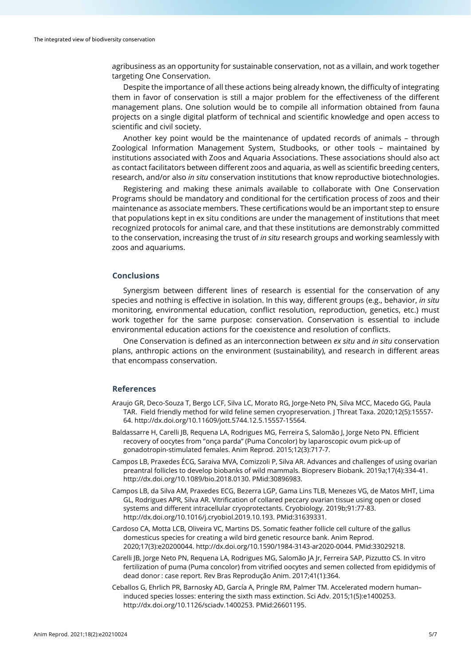agribusiness as an opportunity for sustainable conservation, not as a villain, and work together targeting One Conservation.

Despite the importance of all these actions being already known, the difficulty of integrating them in favor of conservation is still a major problem for the effectiveness of the different management plans. One solution would be to compile all information obtained from fauna projects on a single digital platform of technical and scientific knowledge and open access to scientific and civil society.

Another key point would be the maintenance of updated records of animals – through Zoological Information Management System, Studbooks, or other tools – maintained by institutions associated with Zoos and Aquaria Associations. These associations should also act as contact facilitators between different zoos and aquaria, as well as scientific breeding centers, research, and/or also *in situ* conservation institutions that know reproductive biotechnologies.

Registering and making these animals available to collaborate with One Conservation Programs should be mandatory and conditional for the certification process of zoos and their maintenance as associate members. These certifications would be an important step to ensure that populations kept in ex situ conditions are under the management of institutions that meet recognized protocols for animal care, and that these institutions are demonstrably committed to the conservation, increasing the trust of *in situ* research groups and working seamlessly with zoos and aquariums.

# **Conclusions**

Synergism between different lines of research is essential for the conservation of any species and nothing is effective in isolation. In this way, different groups (e.g., behavior, *in situ* monitoring, environmental education, conflict resolution, reproduction, genetics, etc.) must work together for the same purpose: conservation. Conservation is essential to include environmental education actions for the coexistence and resolution of conflicts.

One Conservation is defined as an interconnection between *ex situ* and *in situ* conservation plans, anthropic actions on the environment (sustainability), and research in different areas that encompass conservation.

### **References**

- Araujo GR, Deco-Souza T, Bergo LCF, Silva LC, Morato RG, Jorge-Neto PN, Silva MCC, Macedo GG, Paula TAR. Field friendly method for wild feline semen cryopreservation. J Threat Taxa. 2020;12(5):15557- 64[. http://dx.doi.org/10.11609/jott.5744.12.5.15557-15564.](https://doi.org/10.11609/jott.5744.12.5.15557-15564)
- Baldassarre H, Carelli JB, Requena LA, Rodrigues MG, Ferreira S, Salomão J, Jorge Neto PN. Efficient recovery of oocytes from ''onça parda" (Puma Concolor) by laparoscopic ovum pick-up of gonadotropin-stimulated females. Anim Reprod. 2015;12(3):717-7.
- Campos LB, Praxedes ÉCG, Saraiva MVA, Comizzoli P, Silva AR. Advances and challenges of using ovarian preantral follicles to develop biobanks of wild mammals. Biopreserv Biobank. 2019a;17(4):334-41. [http://dx.doi.org/10.1089/bio.2018.0130.](https://doi.org/10.1089/bio.2018.0130) [PMid:30896983.](https://www.ncbi.nlm.nih.gov/entrez/query.fcgi?cmd=Retrieve&db=PubMed&list_uids=30896983&dopt=Abstract)
- Campos LB, da Silva AM, Praxedes ECG, Bezerra LGP, Gama Lins TLB, Menezes VG, de Matos MHT, Lima GL, Rodrigues APR, Silva AR. Vitrification of collared peccary ovarian tissue using open or closed systems and different intracellular cryoprotectants. Cryobiology. 2019b;91:77-83. [http://dx.doi.org/10.1016/j.cryobiol.2019.10.193.](https://doi.org/10.1016/j.cryobiol.2019.10.193) [PMid:31639331.](https://www.ncbi.nlm.nih.gov/entrez/query.fcgi?cmd=Retrieve&db=PubMed&list_uids=31639331&dopt=Abstract)
- Cardoso CA, Motta LCB, Oliveira VC, Martins DS. Somatic feather follicle cell culture of the gallus domesticus species for creating a wild bird genetic resource bank. Anim Reprod. 2020;17(3):e20200044[. http://dx.doi.org/10.1590/1984-3143-ar2020-0044.](https://doi.org/10.1590/1984-3143-ar2020-0044) [PMid:33029218.](https://www.ncbi.nlm.nih.gov/entrez/query.fcgi?cmd=Retrieve&db=PubMed&list_uids=33029218&dopt=Abstract)
- Carelli JB, Jorge Neto PN, Requena LA, Rodrigues MG, Salomão JA Jr, Ferreira SAP, Pizzutto CS. In vitro fertilization of puma (Puma concolor) from vitrified oocytes and semen collected from epididymis of dead donor : case report. Rev Bras Reprodução Anim. 2017;41(1):364.
- Ceballos G, Ehrlich PR, Barnosky AD, García A, Pringle RM, Palmer TM. Accelerated modern human– induced species losses: entering the sixth mass extinction. Sci Adv. 2015;1(5):e1400253. [http://dx.doi.org/10.1126/sciadv.1400253.](https://doi.org/10.1126/sciadv.1400253) [PMid:26601195.](https://www.ncbi.nlm.nih.gov/entrez/query.fcgi?cmd=Retrieve&db=PubMed&list_uids=26601195&dopt=Abstract)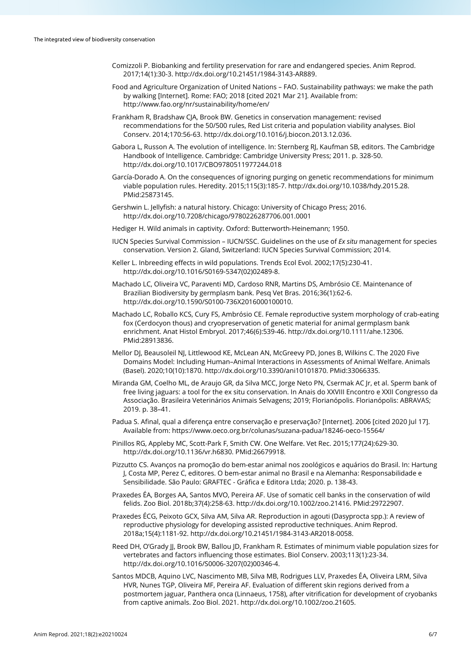- Comizzoli P. Biobanking and fertility preservation for rare and endangered species. Anim Reprod. 2017;14(1):30-3[. http://dx.doi.org/10.21451/1984-3143-AR889.](https://doi.org/10.21451/1984-3143-AR889)
- Food and Agriculture Organization of United Nations FAO. Sustainability pathways: we make the path by walking [Internet]. Rome: FAO; 2018 [cited 2021 Mar 21]. Available from: http://www.fao.org/nr/sustainability/home/en/
- Frankham R, Bradshaw CJA, Brook BW. Genetics in conservation management: revised recommendations for the 50/500 rules, Red List criteria and population viability analyses. Biol Conserv. 2014;170:56-63. [http://dx.doi.org/10.1016/j.biocon.2013.12.036.](https://doi.org/10.1016/j.biocon.2013.12.036)
- Gabora L, Russon A. The evolution of intelligence. In: Sternberg RJ, Kaufman SB, editors. The Cambridge Handbook of Intelligence. Cambridge: Cambridge University Press; 2011. p. 328-50. [http://dx.doi.org/10.1017/CBO9780511977244.018](https://doi.org/10.1017/CBO9780511977244.018)
- García-Dorado A. On the consequences of ignoring purging on genetic recommendations for minimum viable population rules. Heredity. 2015;115(3):185-7[. http://dx.doi.org/10.1038/hdy.2015.28.](https://doi.org/10.1038/hdy.2015.28) [PMid:25873145.](https://www.ncbi.nlm.nih.gov/entrez/query.fcgi?cmd=Retrieve&db=PubMed&list_uids=25873145&dopt=Abstract)
- Gershwin L. Jellyfish: a natural history. Chicago: University of Chicago Press; 2016. [http://dx.doi.org/10.7208/chicago/9780226287706.001.0001](https://doi.org/10.7208/chicago/9780226287706.001.0001)
- Hediger H. Wild animals in captivity. Oxford: Butterworth-Heinemann; 1950.
- IUCN Species Survival Commission IUCN/SSC. Guidelines on the use of *Ex situ* management for species conservation. Version 2. Gland, Switzerland: IUCN Species Survival Commission; 2014.
- Keller L. Inbreeding effects in wild populations. Trends Ecol Evol. 2002;17(5):230-41. [http://dx.doi.org/10.1016/S0169-5347\(02\)02489-8.](https://doi.org/10.1016/S0169-5347(02)02489-8)
- Machado LC, Oliveira VC, Paraventi MD, Cardoso RNR, Martins DS, Ambrósio CE. Maintenance of Brazilian Biodiversity by germplasm bank. Pesq Vet Bras. 2016;36(1):62-6. [http://dx.doi.org/10.1590/S0100-736X2016000100010.](https://doi.org/10.1590/S0100-736X2016000100010)
- Machado LC, Roballo KCS, Cury FS, Ambrósio CE. Female reproductive system morphology of crab-eating fox (Cerdocyon thous) and cryopreservation of genetic material for animal germplasm bank enrichment. Anat Histol Embryol. 2017;46(6):539-46[. http://dx.doi.org/10.1111/ahe.12306](https://doi.org/10.1111/ahe.12306)[.](https://www.ncbi.nlm.nih.gov/entrez/query.fcgi?cmd=Retrieve&db=PubMed&list_uids=28913836&dopt=Abstract) [PMid:28913836.](https://www.ncbi.nlm.nih.gov/entrez/query.fcgi?cmd=Retrieve&db=PubMed&list_uids=28913836&dopt=Abstract)
- Mellor DJ, Beausoleil NJ, Littlewood KE, McLean AN, McGreevy PD, Jones B, Wilkins C. The 2020 Five Domains Model: Including Human–Animal Interactions in Assessments of Animal Welfare. Animals (Basel). 2020;10(10):1870. [http://dx.doi.org/10.3390/ani10101870.](https://doi.org/10.3390/ani10101870) [PMid:33066335.](https://www.ncbi.nlm.nih.gov/entrez/query.fcgi?cmd=Retrieve&db=PubMed&list_uids=33066335&dopt=Abstract)
- Miranda GM, Coelho ML, de Araujo GR, da Silva MCC, Jorge Neto PN, Csermak AC Jr, et al. Sperm bank of free living jaguars: a tool for the ex situ conservation. In Anais do XXVIII Encontro e XXII Congresso da Associação. Brasileira Veterinários Animais Selvagens; 2019; Florianópolis. Florianópolis: ABRAVAS; 2019. p. 38–41.
- Padua S. Afinal, qual a diferença entre conservação e preservação? [Internet]. 2006 [cited 2020 Jul 17]. Available from: https://www.oeco.org.br/colunas/suzana-padua/18246-oeco-15564/
- Pinillos RG, Appleby MC, Scott-Park F, Smith CW. One Welfare. Vet Rec. 2015;177(24):629-30. [http://dx.doi.org/10.1136/vr.h6830.](https://doi.org/10.1136/vr.h6830) [PMid:26679918.](https://www.ncbi.nlm.nih.gov/entrez/query.fcgi?cmd=Retrieve&db=PubMed&list_uids=26679918&dopt=Abstract)
- Pizzutto CS. Avanços na promoção do bem-estar animal nos zoológicos e aquários do Brasil. In: Hartung J, Costa MP, Perez C, editores. O bem-estar animal no Brasil e na Alemanha: Responsabilidade e Sensibilidade. São Paulo: GRAFTEC - Gráfica e Editora Ltda; 2020. p. 138-43.
- Praxedes ÉA, Borges AA, Santos MVO, Pereira AF. Use of somatic cell banks in the conservation of wild felids. Zoo Biol. 2018b;37(4):258-63[. http://dx.doi.org/10.1002/zoo.21416.](https://doi.org/10.1002/zoo.21416) [PMid:29722907.](https://www.ncbi.nlm.nih.gov/entrez/query.fcgi?cmd=Retrieve&db=PubMed&list_uids=29722907&dopt=Abstract)
- Praxedes ÉCG, Peixoto GCX, Silva AM, Silva AR. Reproduction in agouti (Dasyprocta spp.): A review of reproductive physiology for developing assisted reproductive techniques. Anim Reprod. 2018a;15(4):1181-92[. http://dx.doi.org/10.21451/1984-3143-AR2018-0058.](https://doi.org/10.21451/1984-3143-AR2018-0058)
- Reed DH, O'Grady JJ, Brook BW, Ballou JD, Frankham R. Estimates of minimum viable population sizes for vertebrates and factors influencing those estimates. Biol Conserv. 2003;113(1):23-34. [http://dx.doi.org/10.1016/S0006-3207\(02\)00346-4.](https://doi.org/10.1016/S0006-3207(02)00346-4)
- Santos MDCB, Aquino LVC, Nascimento MB, Silva MB, Rodrigues LLV, Praxedes ÉA, Oliveira LRM, Silva HVR, Nunes TGP, Oliveira MF, Pereira AF. Evaluation of different skin regions derived from a postmortem jaguar, Panthera onca (Linnaeus, 1758), after vitrification for development of cryobanks from captive animals. Zoo Biol. 2021. http://dx.doi.org/10.1002/zoo.21605.